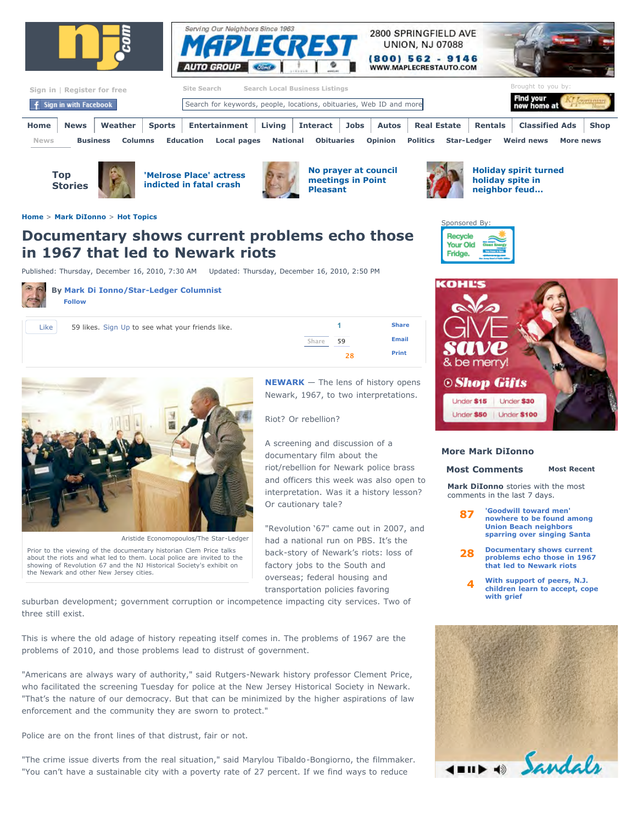



| Sign in   Register for free |                                |                |        | <b>Search Local Business Listings</b><br>Site Search                |                 |                   |      |                |                    |                    |         | Brought to you by:       |           |             |
|-----------------------------|--------------------------------|----------------|--------|---------------------------------------------------------------------|-----------------|-------------------|------|----------------|--------------------|--------------------|---------|--------------------------|-----------|-------------|
|                             | <b>f</b> Sign in with Facebook |                |        | Search for keywords, people, locations, obituaries, Web ID and more |                 |                   |      |                |                    |                    |         | Find your<br>new home at |           |             |
| Home                        | <b>News</b>                    | Weather        | Sports | Entertainment                                                       | Living $\vert$  | <b>Interact</b>   | Jobs | Autos          | <b>Real Estate</b> |                    | Rentals | <b>Classified Ads</b>    |           | <b>Shop</b> |
| <b>News</b>                 | <b>Business</b>                | <b>Columns</b> |        | Local pages<br><b>Education</b>                                     | <b>National</b> | <b>Obituaries</b> |      | <b>Opinion</b> | <b>Politics</b>    | <b>Star-Ledger</b> |         | <b>Weird news</b>        | More news |             |



**['Melrose Place' actress](http://www.nj.com/news/index.ssf/2010/12/melrose_place_actress_is_indic.html#incart_hbx) indicted in fatal crash**



**[No prayer at council](http://www.nj.com/news/index.ssf/2010/12/point_pleasant_beach_mayor_que.html#incart_hbx) meetings in Point Pleasant**



**[Holiday spirit turned](http://blog.nj.com/njv_mark_diionno/2010/12/holiday_spirit_dampened_with_s.html#incart_hbx) holiday spite in neighbor feud...**





### **More Mark DiIonno**

## **[Most Comments](http://blog.nj.com/njv_mark_diionno/2010/12/newark_riots_docuentary_shown.html#MostCommented) [Most Recent](http://blog.nj.com/njv_mark_diionno/2010/12/newark_riots_docuentary_shown.html#MostRecent)**

**Mark DiIonno** stories with the most comments in the last 7 days.

- **[87](http://blog.nj.com/njv_mark_diionno/2010/12/holiday_spirit_dampened_with_s.html#incart_mce) 'Goodwill toward men' [nowhere to be found among](http://blog.nj.com/njv_mark_diionno/2010/12/holiday_spirit_dampened_with_s.html#incart_mce) Union Beach neighbors sparring over singing Santa**
- **[28](http://blog.nj.com/njv_mark_diionno/2010/12/newark_riots_docuentary_shown.html#incart_mce) Documentary shows current [problems echo those in 1967](http://blog.nj.com/njv_mark_diionno/2010/12/newark_riots_docuentary_shown.html#incart_mce) that led to Newark riots**
	- **[4](http://blog.nj.com/njv_mark_diionno/2010/12/with_support_of_peers_nj_child.html#incart_mce) With support of peers, N.J. [children learn to accept, cope](http://blog.nj.com/njv_mark_diionno/2010/12/with_support_of_peers_nj_child.html#incart_mce) with grief**



**[Home](http://www.nj.com/)** > **[Mark DiIonno](http://blog.nj.com/njv_mark_diionno/)** > **[Hot Topics](http://blog.nj.com/njv_mark_diionno/hot_topics/index.html)**

# **Documentary shows current problems echo those in 1967 that led to Newark riots**

Published: Thursday, December 16, 2010, 7:30 AM Updated: Thursday, December 16, 2010, 2:50 PM



**By [Mark Di Ionno/Star-Ledger Columnist](http://connect.nj.com/user/mdiionno/index.html)  Follow**

| l ike | $59$ likes $Si$ |  |
|-------|-----------------|--|





Aristide Economopoulos/The Star-Ledger

**[NEWARK](http://www.nj.com/newark)** — The lens of history opens Newark, 1967, to two interpretations.

Riot? Or rebellion?

A screening and discussion of a documentary film about the riot/rebellion for Newark police brass and officers this week was also open to interpretation. Was it a history lesson? Or cautionary tale?

"Revolution '67" came out in 2007, and had a national run on PBS. It's the back-story of Newark's riots: loss of factory jobs to the South and overseas; federal housing and transportation policies favoring

suburban development; government corruption or incompetence impacting city services. Two of three still exist.

This is where the old adage of history repeating itself comes in. The problems of 1967 are the problems of 2010, and those problems lead to distrust of government.

"Americans are always wary of authority," said Rutgers-Newark history professor Clement Price, who facilitated the screening Tuesday for police at the New Jersey Historical Society in Newark. "That's the nature of our democracy. But that can be minimized by the higher aspirations of law enforcement and the community they are sworn to protect."

Police are on the front lines of that distrust, fair or not.

"The crime issue diverts from the real situation," said Marylou Tibaldo-Bongiorno, the filmmaker. "You can't have a sustainable city with a poverty rate of 27 percent. If we find ways to reduce

Prior to the viewing of the documentary historian Clem Price talks about the riots and what led to them. Local police are invited to the showing of Revolution 67 and the NJ Historical Society's exhibit on the Newark and other New Jersey cities.